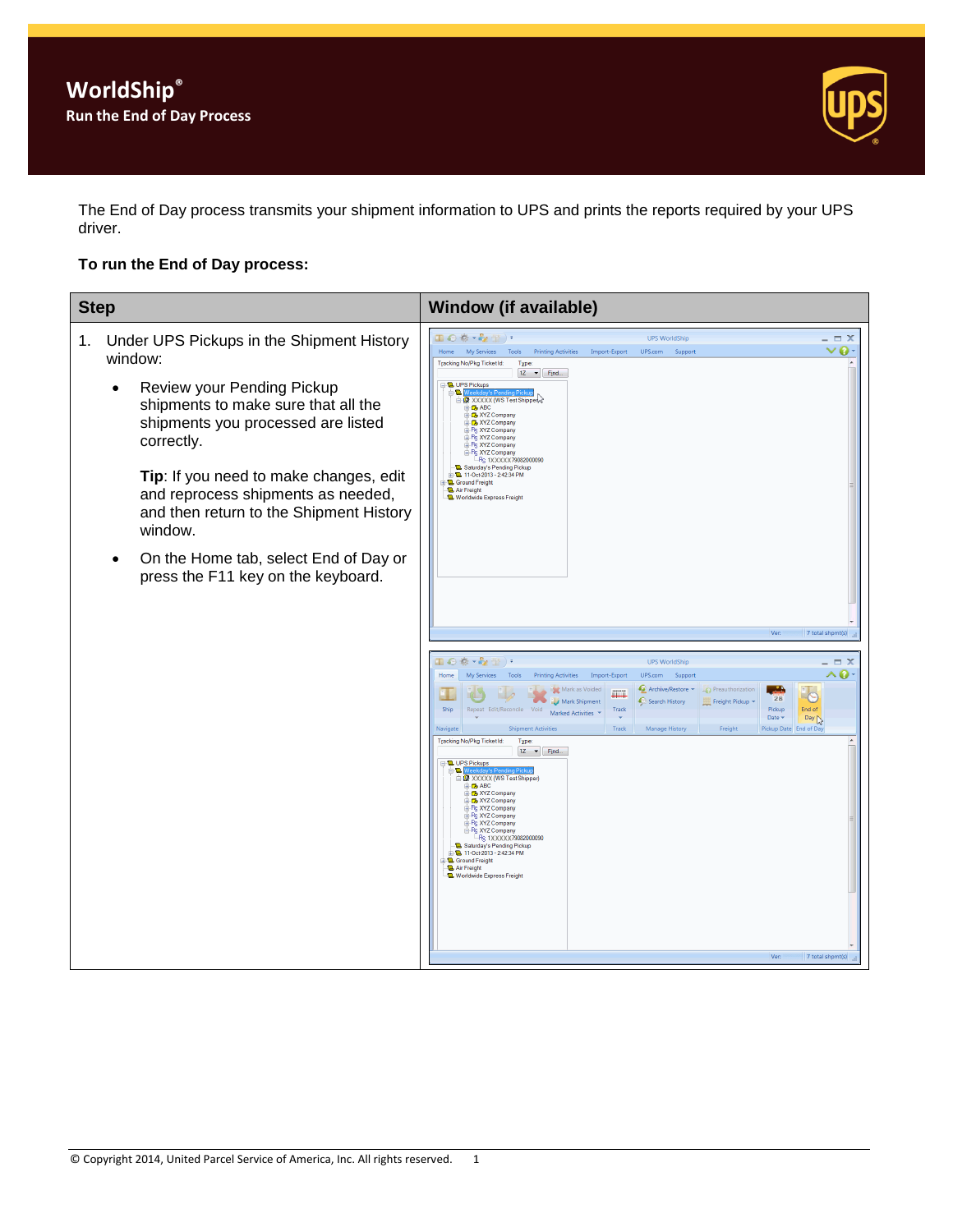

The End of Day process transmits your shipment information to UPS and prints the reports required by your UPS driver.

## **To run the End of Day process:**

| <b>Step</b>                                                                                                                                                                                                                                                                                                                                                                                                   | <b>Window (if available)</b>                                                                                                                                                                                                                                                                                                                                                                                                                                                                                                                                                                                                                                                                                                                                                                                                                                                                                                                                                                                                                                                                                                                                                                                                                                                                                                                                                                                                                                                                                                                                                                                                                                              |
|---------------------------------------------------------------------------------------------------------------------------------------------------------------------------------------------------------------------------------------------------------------------------------------------------------------------------------------------------------------------------------------------------------------|---------------------------------------------------------------------------------------------------------------------------------------------------------------------------------------------------------------------------------------------------------------------------------------------------------------------------------------------------------------------------------------------------------------------------------------------------------------------------------------------------------------------------------------------------------------------------------------------------------------------------------------------------------------------------------------------------------------------------------------------------------------------------------------------------------------------------------------------------------------------------------------------------------------------------------------------------------------------------------------------------------------------------------------------------------------------------------------------------------------------------------------------------------------------------------------------------------------------------------------------------------------------------------------------------------------------------------------------------------------------------------------------------------------------------------------------------------------------------------------------------------------------------------------------------------------------------------------------------------------------------------------------------------------------------|
| Under UPS Pickups in the Shipment History<br>1.<br>window:<br>Review your Pending Pickup<br>shipments to make sure that all the<br>shipments you processed are listed<br>correctly.<br>Tip: If you need to make changes, edit<br>and reprocess shipments as needed,<br>and then return to the Shipment History<br>window.<br>On the Home tab, select End of Day or<br>٠<br>press the F11 key on the keyboard. | Ⅲ◎春・を惜)・<br><b>UPS WorldShip</b><br>$ \Box$ $\times$<br>$\vee$ 0 $\cdot$<br>Home My Services<br>Tools<br><b>Printing Activities</b><br>Import-Export<br>UPS.com<br>Support<br>Tracking No/Pkg Ticket Id:<br>Type:<br>$1Z \rightarrow$ Find<br><b>D</b> . UPS Pickups<br>≘QW<br><b>REXXXXX</b> (WS Test Shipper<br><b>B</b> ABC<br>Rex XYZ Company<br>R XYZ Company<br>Ps XYZ Company<br>+ Pc XYZ Company<br>P <sub>S</sub> XYZ Company<br>Re XYZ Company<br>- R <sub>S</sub> 1XXXXX79082000090<br>Saturday's Pending Pickup<br>D-11-Oct-2013 - 2:42:34 PM<br><b>Q</b> Ground Freight<br>Air Freight<br>Worldwide Express Freight<br>Ver:<br>7 total shpmt(s)<br>国の春・み香)。<br><b>UPS WorldShip</b><br>^ 0<br>My Services Tools<br>Home<br><b>Printing Activities</b><br>Import-Export<br>UPS.com<br>Support<br>Archive/Restore +<br>Preauthorization<br><b>Mark as Voided</b><br>N.<br>28<br>Search History<br>Freight Pickup<br>Mark Shipment<br>Ship<br>Repeat Edit/Reconcile Void<br>Track<br>Pickup<br>End of<br>Marked Activities<br>Day <sub>N</sub><br>Date v<br><b>Shipment Activities</b><br>Track<br>Manage History<br>Pickup Date End of Day<br>Freight<br><b>Navigate</b><br>Tracking No/Pkg TicketId:<br>Type:<br>$1Z \rightarrow$ Find<br><b>D.</b> UPS Pickups<br><b>B.M</b><br><b>EXXXXX (WS Test Shipper)</b><br>$\oplus$ ABC<br><b>B</b> XYZ Company<br><b>B</b> XYZ Company<br><b>E-Rs XYZ Company</b><br>PR XYZ Company<br>- Pg XYZ Company<br>R <sub>S</sub> XYZ Company<br>-Rs 1XXXXX79082000090<br>Saturday's Pending Pickup<br>由 11-Oct-2013 - 2:42:34 PM<br><b>Q</b> Ground Freight<br><b>D.</b> Air Freight<br><b>L</b> Worldwide Express Freight |
|                                                                                                                                                                                                                                                                                                                                                                                                               | Ver:<br>7 total shomt(s)                                                                                                                                                                                                                                                                                                                                                                                                                                                                                                                                                                                                                                                                                                                                                                                                                                                                                                                                                                                                                                                                                                                                                                                                                                                                                                                                                                                                                                                                                                                                                                                                                                                  |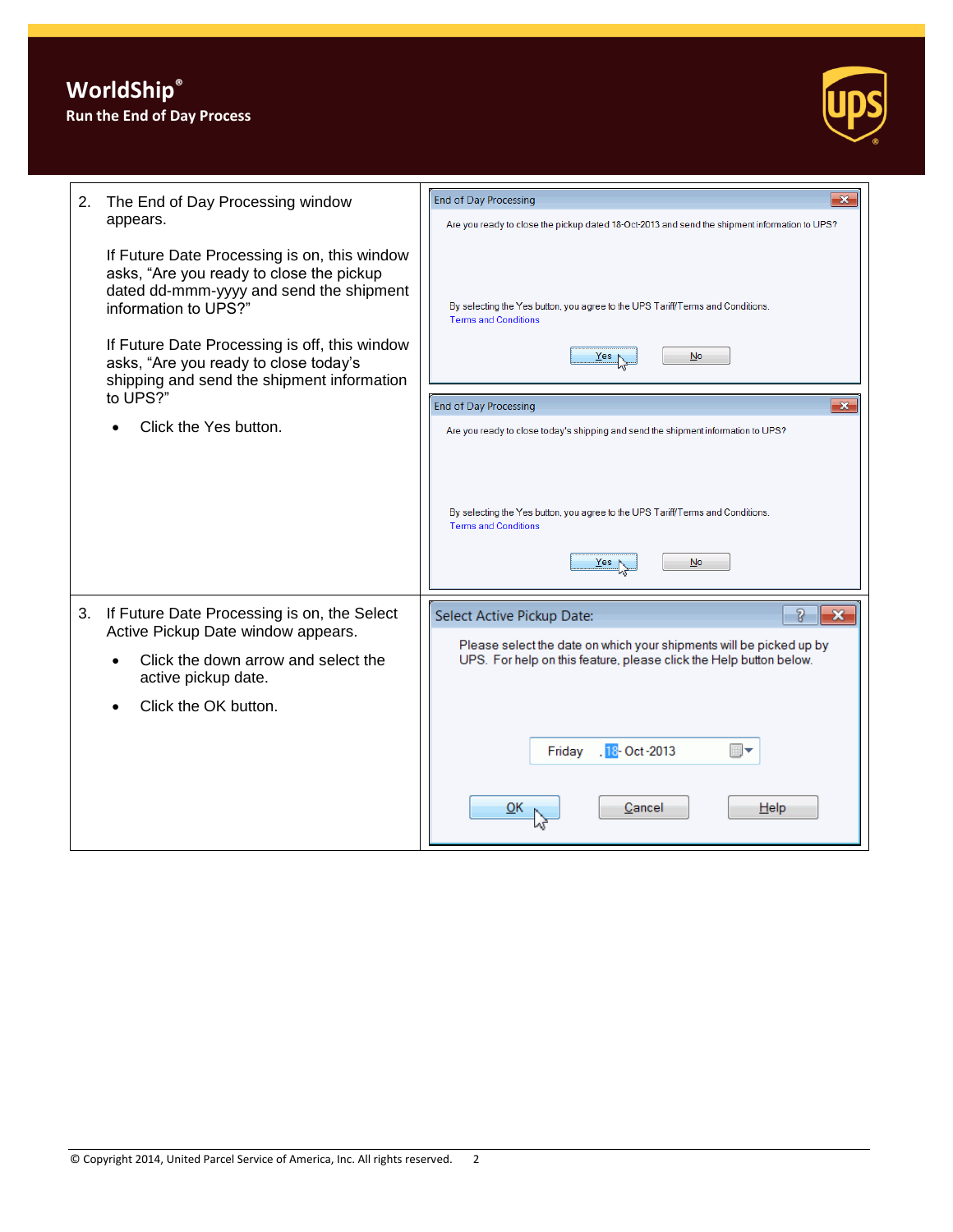

| 2.<br>appears. | The End of Day Processing window                                                                                                                            | End of Day Processing<br>$\mathbf x$<br>Are you ready to close the pickup dated 18-Oct-2013 and send the shipment information to UPS?     |
|----------------|-------------------------------------------------------------------------------------------------------------------------------------------------------------|-------------------------------------------------------------------------------------------------------------------------------------------|
|                | If Future Date Processing is on, this window<br>asks, "Are you ready to close the pickup<br>dated dd-mmm-yyyy and send the shipment<br>information to UPS?" | By selecting the Yes button, you agree to the UPS Tariff/Terms and Conditions.<br><b>Terms and Conditions</b>                             |
|                | If Future Date Processing is off, this window<br>asks, "Are you ready to close today's<br>shipping and send the shipment information                        | $\mathbf{N}$ o<br>Yes                                                                                                                     |
|                | to UPS?"                                                                                                                                                    | $\mathbf{x}$<br><b>End of Day Processing</b>                                                                                              |
|                | Click the Yes button.                                                                                                                                       | Are you ready to close today's shipping and send the shipment information to UPS?                                                         |
|                |                                                                                                                                                             | By selecting the Yes button, you agree to the UPS Tariff/Terms and Conditions.<br><b>Terms and Conditions</b><br>No<br>Yes                |
| 3.             | If Future Date Processing is on, the Select<br>Active Pickup Date window appears.                                                                           | 7<br>$\mathbf x$<br>Select Active Pickup Date:                                                                                            |
|                | Click the down arrow and select the<br>active pickup date.                                                                                                  | Please select the date on which your shipments will be picked up by<br>UPS. For help on this feature, please click the Help button below. |
|                | Click the OK button.                                                                                                                                        |                                                                                                                                           |
|                |                                                                                                                                                             |                                                                                                                                           |
|                |                                                                                                                                                             | .18- Oct-2013<br>Friday                                                                                                                   |
|                |                                                                                                                                                             | Cancel<br>Help<br><u>о</u> к                                                                                                              |